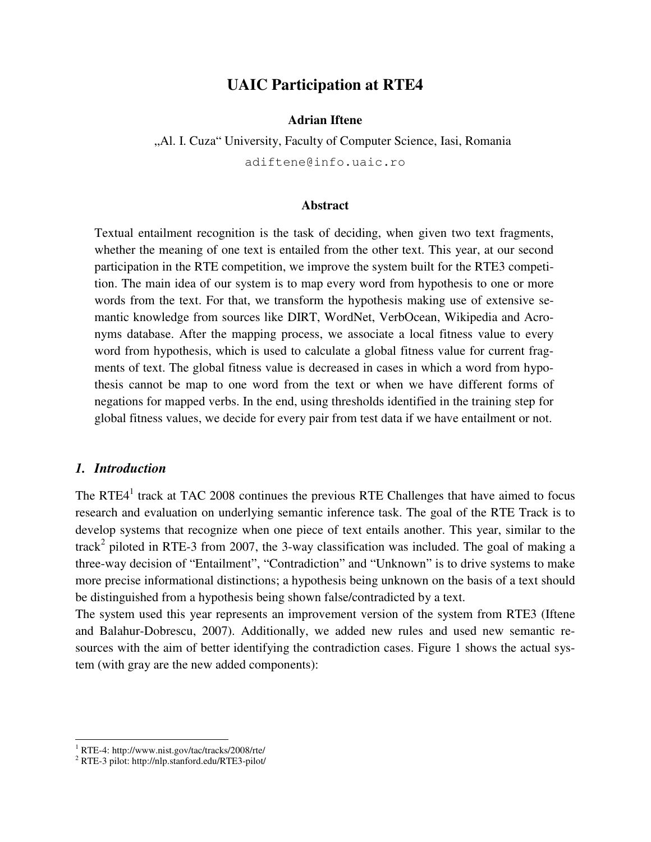# **UAIC Participation at RTE4**

#### **Adrian Iftene**

"Al. I. Cuza" University, Faculty of Computer Science, Iasi, Romania adiftene@info.uaic.ro

#### **Abstract**

Textual entailment recognition is the task of deciding, when given two text fragments, whether the meaning of one text is entailed from the other text. This year, at our second participation in the RTE competition, we improve the system built for the RTE3 competition. The main idea of our system is to map every word from hypothesis to one or more words from the text. For that, we transform the hypothesis making use of extensive semantic knowledge from sources like DIRT, WordNet, VerbOcean, Wikipedia and Acronyms database. After the mapping process, we associate a local fitness value to every word from hypothesis, which is used to calculate a global fitness value for current fragments of text. The global fitness value is decreased in cases in which a word from hypothesis cannot be map to one word from the text or when we have different forms of negations for mapped verbs. In the end, using thresholds identified in the training step for global fitness values, we decide for every pair from test data if we have entailment or not.

#### *1. Introduction*

The RTE4<sup>1</sup> track at TAC 2008 continues the previous RTE Challenges that have aimed to focus research and evaluation on underlying semantic inference task. The goal of the RTE Track is to develop systems that recognize when one piece of text entails another. This year, similar to the track<sup>2</sup> piloted in RTE-3 from 2007, the 3-way classification was included. The goal of making a three-way decision of "Entailment", "Contradiction" and "Unknown" is to drive systems to make more precise informational distinctions; a hypothesis being unknown on the basis of a text should be distinguished from a hypothesis being shown false/contradicted by a text.

The system used this year represents an improvement version of the system from RTE3 (Iftene and Balahur-Dobrescu, 2007). Additionally, we added new rules and used new semantic resources with the aim of better identifying the contradiction cases. Figure 1 shows the actual system (with gray are the new added components):

 $\overline{a}$ 

<sup>1</sup> RTE-4: http://www.nist.gov/tac/tracks/2008/rte/

<sup>2</sup> RTE-3 pilot: http://nlp.stanford.edu/RTE3-pilot/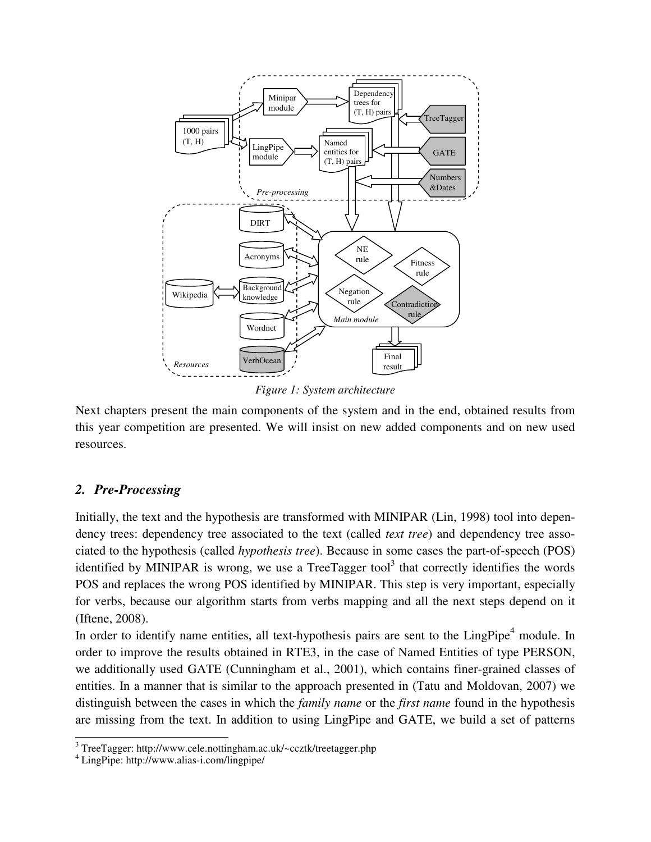

*Figure 1: System architecture* 

Next chapters present the main components of the system and in the end, obtained results from this year competition are presented. We will insist on new added components and on new used resources.

#### *2. Pre-Processing*

Initially, the text and the hypothesis are transformed with MINIPAR (Lin, 1998) tool into dependency trees: dependency tree associated to the text (called *text tree*) and dependency tree associated to the hypothesis (called *hypothesis tree*). Because in some cases the part-of-speech (POS) identified by MINIPAR is wrong, we use a TreeTagger tool<sup>3</sup> that correctly identifies the words POS and replaces the wrong POS identified by MINIPAR. This step is very important, especially for verbs, because our algorithm starts from verbs mapping and all the next steps depend on it (Iftene, 2008).

In order to identify name entities, all text-hypothesis pairs are sent to the LingPipe<sup>4</sup> module. In order to improve the results obtained in RTE3, in the case of Named Entities of type PERSON, we additionally used GATE (Cunningham et al., 2001), which contains finer-grained classes of entities. In a manner that is similar to the approach presented in (Tatu and Moldovan, 2007) we distinguish between the cases in which the *family name* or the *first name* found in the hypothesis are missing from the text. In addition to using LingPipe and GATE, we build a set of patterns

 $\overline{a}$ 

<sup>&</sup>lt;sup>3</sup> TreeTagger: http://www.cele.nottingham.ac.uk/~ccztk/treetagger.php

<sup>4</sup> LingPipe: http://www.alias-i.com/lingpipe/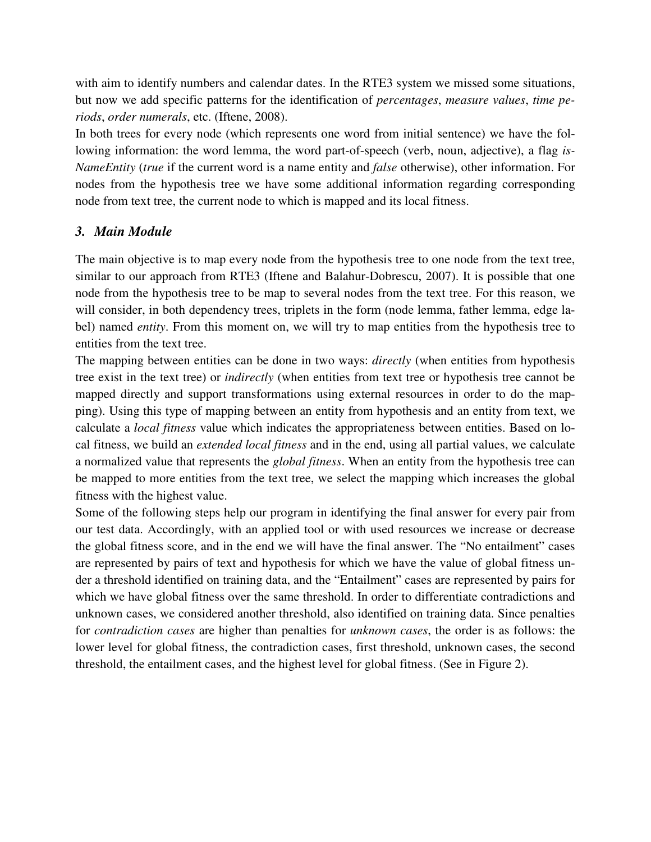with aim to identify numbers and calendar dates. In the RTE3 system we missed some situations, but now we add specific patterns for the identification of *percentages*, *measure values*, *time periods*, *order numerals*, etc. (Iftene, 2008).

In both trees for every node (which represents one word from initial sentence) we have the following information: the word lemma, the word part-of-speech (verb, noun, adjective), a flag *is-NameEntity* (*true* if the current word is a name entity and *false* otherwise), other information. For nodes from the hypothesis tree we have some additional information regarding corresponding node from text tree, the current node to which is mapped and its local fitness.

### *3. Main Module*

The main objective is to map every node from the hypothesis tree to one node from the text tree, similar to our approach from RTE3 (Iftene and Balahur-Dobrescu, 2007). It is possible that one node from the hypothesis tree to be map to several nodes from the text tree. For this reason, we will consider, in both dependency trees, triplets in the form (node lemma, father lemma, edge label) named *entity*. From this moment on, we will try to map entities from the hypothesis tree to entities from the text tree.

The mapping between entities can be done in two ways: *directly* (when entities from hypothesis tree exist in the text tree) or *indirectly* (when entities from text tree or hypothesis tree cannot be mapped directly and support transformations using external resources in order to do the mapping). Using this type of mapping between an entity from hypothesis and an entity from text, we calculate a *local fitness* value which indicates the appropriateness between entities. Based on local fitness, we build an *extended local fitness* and in the end, using all partial values, we calculate a normalized value that represents the *global fitness*. When an entity from the hypothesis tree can be mapped to more entities from the text tree, we select the mapping which increases the global fitness with the highest value.

Some of the following steps help our program in identifying the final answer for every pair from our test data. Accordingly, with an applied tool or with used resources we increase or decrease the global fitness score, and in the end we will have the final answer. The "No entailment" cases are represented by pairs of text and hypothesis for which we have the value of global fitness under a threshold identified on training data, and the "Entailment" cases are represented by pairs for which we have global fitness over the same threshold. In order to differentiate contradictions and unknown cases, we considered another threshold, also identified on training data. Since penalties for *contradiction cases* are higher than penalties for *unknown cases*, the order is as follows: the lower level for global fitness, the contradiction cases, first threshold, unknown cases, the second threshold, the entailment cases, and the highest level for global fitness. (See in Figure 2).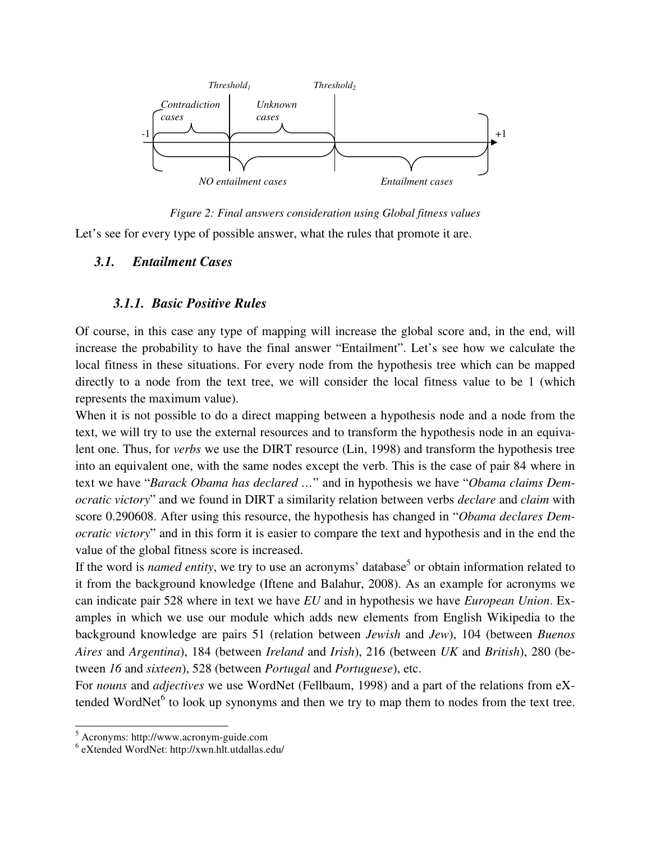

*Figure 2: Final answers consideration using Global fitness values*  Let's see for every type of possible answer, what the rules that promote it are.

#### *3.1. Entailment Cases*

#### *3.1.1. Basic Positive Rules*

Of course, in this case any type of mapping will increase the global score and, in the end, will increase the probability to have the final answer "Entailment". Let's see how we calculate the local fitness in these situations. For every node from the hypothesis tree which can be mapped directly to a node from the text tree, we will consider the local fitness value to be 1 (which represents the maximum value).

When it is not possible to do a direct mapping between a hypothesis node and a node from the text, we will try to use the external resources and to transform the hypothesis node in an equivalent one. Thus, for *verbs* we use the DIRT resource (Lin, 1998) and transform the hypothesis tree into an equivalent one, with the same nodes except the verb. This is the case of pair 84 where in text we have "*Barack Obama has declared …*" and in hypothesis we have "*Obama claims Democratic victory*" and we found in DIRT a similarity relation between verbs *declare* and *claim* with score 0.290608. After using this resource, the hypothesis has changed in "*Obama declares Democratic victory*" and in this form it is easier to compare the text and hypothesis and in the end the value of the global fitness score is increased.

If the word is *named entity*, we try to use an acronyms' database<sup>5</sup> or obtain information related to it from the background knowledge (Iftene and Balahur, 2008). As an example for acronyms we can indicate pair 528 where in text we have *EU* and in hypothesis we have *European Union*. Examples in which we use our module which adds new elements from English Wikipedia to the background knowledge are pairs 51 (relation between *Jewish* and *Jew*), 104 (between *Buenos Aires* and *Argentina*), 184 (between *Ireland* and *Irish*), 216 (between *UK* and *British*), 280 (between *16* and *sixteen*), 528 (between *Portugal* and *Portuguese*), etc.

For *nouns* and *adjectives* we use WordNet (Fellbaum, 1998) and a part of the relations from eXtended WordNet $<sup>6</sup>$  to look up synonyms and then we try to map them to nodes from the text tree.</sup>

 5 Acronyms: http://www.acronym-guide.com

<sup>6</sup> eXtended WordNet: http://xwn.hlt.utdallas.edu/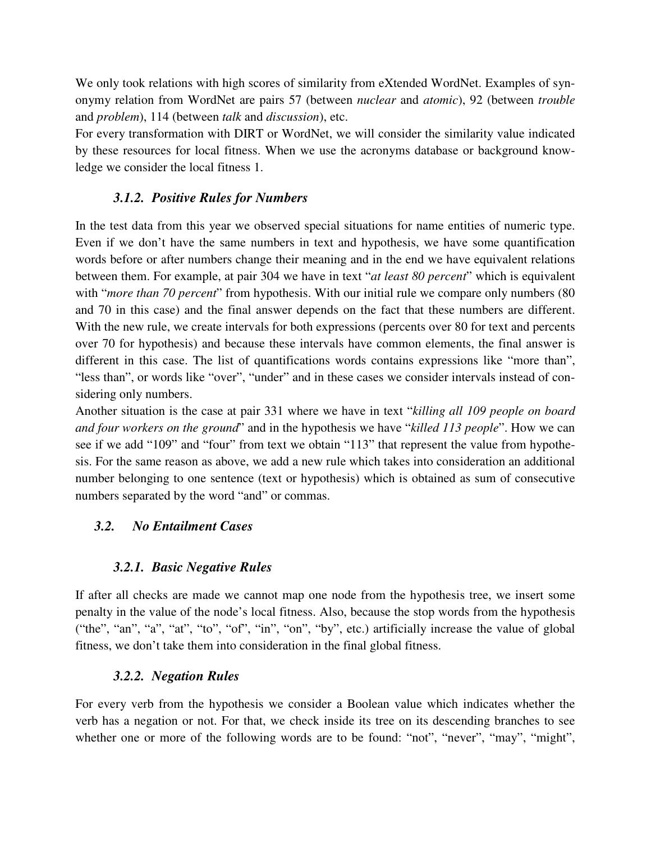We only took relations with high scores of similarity from eXtended WordNet. Examples of synonymy relation from WordNet are pairs 57 (between *nuclear* and *atomic*), 92 (between *trouble* and *problem*), 114 (between *talk* and *discussion*), etc.

For every transformation with DIRT or WordNet, we will consider the similarity value indicated by these resources for local fitness. When we use the acronyms database or background knowledge we consider the local fitness 1.

# *3.1.2. Positive Rules for Numbers*

In the test data from this year we observed special situations for name entities of numeric type. Even if we don't have the same numbers in text and hypothesis, we have some quantification words before or after numbers change their meaning and in the end we have equivalent relations between them. For example, at pair 304 we have in text "*at least 80 percent*" which is equivalent with "*more than 70 percent*" from hypothesis. With our initial rule we compare only numbers (80 and 70 in this case) and the final answer depends on the fact that these numbers are different. With the new rule, we create intervals for both expressions (percents over 80 for text and percents over 70 for hypothesis) and because these intervals have common elements, the final answer is different in this case. The list of quantifications words contains expressions like "more than", "less than", or words like "over", "under" and in these cases we consider intervals instead of considering only numbers.

Another situation is the case at pair 331 where we have in text "*killing all 109 people on board and four workers on the ground*" and in the hypothesis we have "*killed 113 people*". How we can see if we add "109" and "four" from text we obtain "113" that represent the value from hypothesis. For the same reason as above, we add a new rule which takes into consideration an additional number belonging to one sentence (text or hypothesis) which is obtained as sum of consecutive numbers separated by the word "and" or commas.

## *3.2. No Entailment Cases*

## *3.2.1. Basic Negative Rules*

If after all checks are made we cannot map one node from the hypothesis tree, we insert some penalty in the value of the node's local fitness. Also, because the stop words from the hypothesis ("the", "an", "a", "at", "to", "of", "in", "on", "by", etc.) artificially increase the value of global fitness, we don't take them into consideration in the final global fitness.

## *3.2.2. Negation Rules*

For every verb from the hypothesis we consider a Boolean value which indicates whether the verb has a negation or not. For that, we check inside its tree on its descending branches to see whether one or more of the following words are to be found: "not", "never", "may", "might",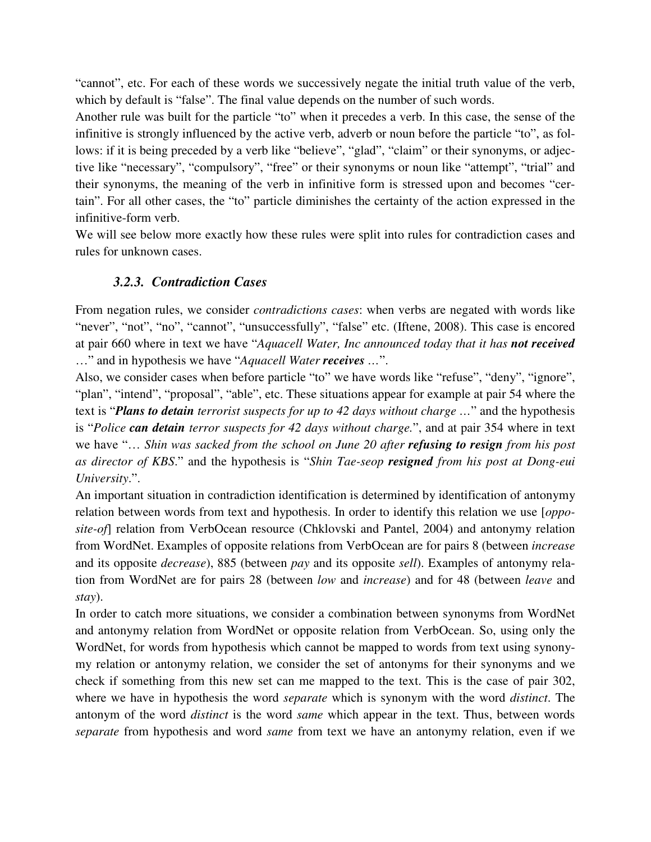"cannot", etc. For each of these words we successively negate the initial truth value of the verb, which by default is "false". The final value depends on the number of such words.

Another rule was built for the particle "to" when it precedes a verb. In this case, the sense of the infinitive is strongly influenced by the active verb, adverb or noun before the particle "to", as follows: if it is being preceded by a verb like "believe", "glad", "claim" or their synonyms, or adjective like "necessary", "compulsory", "free" or their synonyms or noun like "attempt", "trial" and their synonyms, the meaning of the verb in infinitive form is stressed upon and becomes "certain". For all other cases, the "to" particle diminishes the certainty of the action expressed in the infinitive-form verb.

We will see below more exactly how these rules were split into rules for contradiction cases and rules for unknown cases.

## *3.2.3. Contradiction Cases*

From negation rules, we consider *contradictions cases*: when verbs are negated with words like "never", "not", "no", "cannot", "unsuccessfully", "false" etc. (Iftene, 2008). This case is encored at pair 660 where in text we have "*Aquacell Water, Inc announced today that it has not received* …" and in hypothesis we have "*Aquacell Water receives …*".

Also, we consider cases when before particle "to" we have words like "refuse", "deny", "ignore", "plan", "intend", "proposal", "able", etc. These situations appear for example at pair 54 where the text is "*Plans to detain terrorist suspects for up to 42 days without charge …*" and the hypothesis is "*Police can detain terror suspects for 42 days without charge.*", and at pair 354 where in text we have "… *Shin was sacked from the school on June 20 after refusing to resign from his post as director of KBS*." and the hypothesis is "*Shin Tae-seop resigned from his post at Dong-eui University*.".

An important situation in contradiction identification is determined by identification of antonymy relation between words from text and hypothesis. In order to identify this relation we use [*opposite-of*] relation from VerbOcean resource (Chklovski and Pantel, 2004) and antonymy relation from WordNet. Examples of opposite relations from VerbOcean are for pairs 8 (between *increase* and its opposite *decrease*), 885 (between *pay* and its opposite *sell*). Examples of antonymy relation from WordNet are for pairs 28 (between *low* and *increase*) and for 48 (between *leave* and *stay*).

In order to catch more situations, we consider a combination between synonyms from WordNet and antonymy relation from WordNet or opposite relation from VerbOcean. So, using only the WordNet, for words from hypothesis which cannot be mapped to words from text using synonymy relation or antonymy relation, we consider the set of antonyms for their synonyms and we check if something from this new set can me mapped to the text. This is the case of pair 302, where we have in hypothesis the word *separate* which is synonym with the word *distinct*. The antonym of the word *distinct* is the word *same* which appear in the text. Thus, between words *separate* from hypothesis and word *same* from text we have an antonymy relation, even if we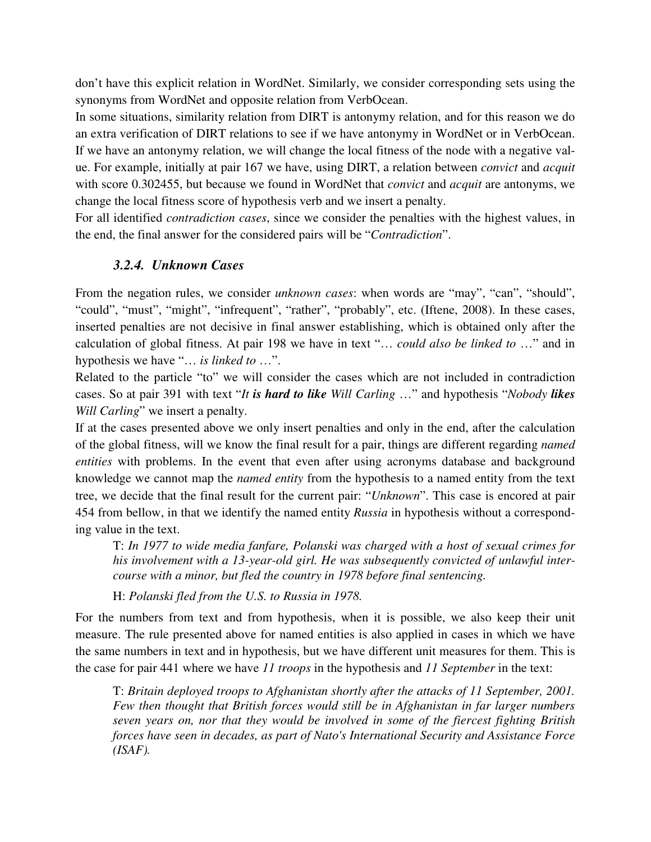don't have this explicit relation in WordNet. Similarly, we consider corresponding sets using the synonyms from WordNet and opposite relation from VerbOcean.

In some situations, similarity relation from DIRT is antonymy relation, and for this reason we do an extra verification of DIRT relations to see if we have antonymy in WordNet or in VerbOcean. If we have an antonymy relation, we will change the local fitness of the node with a negative value. For example, initially at pair 167 we have, using DIRT, a relation between *convict* and *acquit* with score 0.302455, but because we found in WordNet that *convict* and *acquit* are antonyms, we change the local fitness score of hypothesis verb and we insert a penalty.

For all identified *contradiction cases*, since we consider the penalties with the highest values, in the end, the final answer for the considered pairs will be "*Contradiction*".

# *3.2.4. Unknown Cases*

From the negation rules, we consider *unknown cases*: when words are "may", "can", "should", "could", "must", "might", "infrequent", "rather", "probably", etc. (Iftene, 2008). In these cases, inserted penalties are not decisive in final answer establishing, which is obtained only after the calculation of global fitness. At pair 198 we have in text "… *could also be linked to* …" and in hypothesis we have "… *is linked to* …".

Related to the particle "to" we will consider the cases which are not included in contradiction cases. So at pair 391 with text "*It is hard to like Will Carling* …" and hypothesis "*Nobody likes Will Carling*" we insert a penalty.

If at the cases presented above we only insert penalties and only in the end, after the calculation of the global fitness, will we know the final result for a pair, things are different regarding *named entities* with problems. In the event that even after using acronyms database and background knowledge we cannot map the *named entity* from the hypothesis to a named entity from the text tree, we decide that the final result for the current pair: "*Unknown*". This case is encored at pair 454 from bellow, in that we identify the named entity *Russia* in hypothesis without a corresponding value in the text.

T: *In 1977 to wide media fanfare, Polanski was charged with a host of sexual crimes for his involvement with a 13-year-old girl. He was subsequently convicted of unlawful intercourse with a minor, but fled the country in 1978 before final sentencing.*

H: *Polanski fled from the U.S. to Russia in 1978.*

For the numbers from text and from hypothesis, when it is possible, we also keep their unit measure. The rule presented above for named entities is also applied in cases in which we have the same numbers in text and in hypothesis, but we have different unit measures for them. This is the case for pair 441 where we have *11 troops* in the hypothesis and *11 September* in the text:

T: *Britain deployed troops to Afghanistan shortly after the attacks of 11 September, 2001. Few then thought that British forces would still be in Afghanistan in far larger numbers seven years on, nor that they would be involved in some of the fiercest fighting British forces have seen in decades, as part of Nato's International Security and Assistance Force (ISAF).*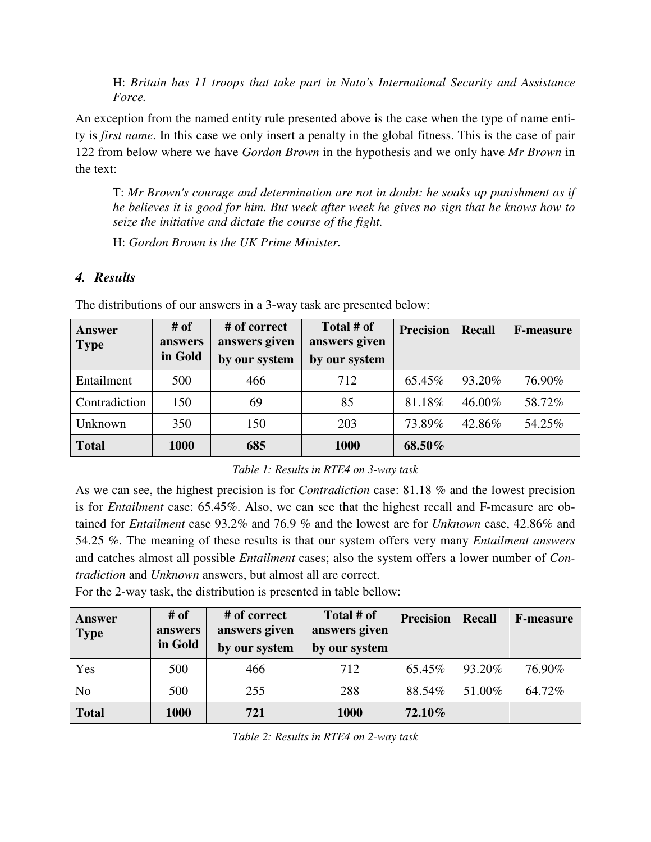H: *Britain has 11 troops that take part in Nato's International Security and Assistance Force.*

An exception from the named entity rule presented above is the case when the type of name entity is *first name*. In this case we only insert a penalty in the global fitness. This is the case of pair 122 from below where we have *Gordon Brown* in the hypothesis and we only have *Mr Brown* in the text:

T: *Mr Brown's courage and determination are not in doubt: he soaks up punishment as if he believes it is good for him. But week after week he gives no sign that he knows how to seize the initiative and dictate the course of the fight.*

H: *Gordon Brown is the UK Prime Minister.*

## *4. Results*

| <b>Answer</b><br><b>Type</b> | $#$ of<br>answers | # of correct<br>answers given | Total # of<br>answers given | <b>Precision</b> | <b>Recall</b> | <b>F-measure</b> |
|------------------------------|-------------------|-------------------------------|-----------------------------|------------------|---------------|------------------|
|                              | in Gold           | by our system                 | by our system               |                  |               |                  |
| Entailment                   | 500               | 466                           | 712                         | 65.45%           | 93.20%        | 76.90%           |
| Contradiction                | 150               | 69                            | 85                          | 81.18%           | 46.00%        | 58.72%           |
| Unknown                      | 350               | 150                           | 203                         | 73.89%           | 42.86%        | 54.25%           |
| <b>Total</b>                 | 1000              | 685                           | 1000                        | 68.50%           |               |                  |

The distributions of our answers in a 3-way task are presented below:

#### *Table 1: Results in RTE4 on 3-way task*

As we can see, the highest precision is for *Contradiction* case: 81.18 % and the lowest precision is for *Entailment* case: 65.45%. Also, we can see that the highest recall and F-measure are obtained for *Entailment* case 93.2% and 76.9 % and the lowest are for *Unknown* case, 42.86% and 54.25 %. The meaning of these results is that our system offers very many *Entailment answers*  and catches almost all possible *Entailment* cases; also the system offers a lower number of *Contradiction* and *Unknown* answers, but almost all are correct.

For the 2-way task, the distribution is presented in table bellow:

| <b>Answer</b><br><b>Type</b> | # of<br>answers<br>in Gold | # of correct<br>answers given<br>by our system | Total # of<br>answers given<br>by our system | <b>Precision</b> | <b>Recall</b> | <b>F-measure</b> |
|------------------------------|----------------------------|------------------------------------------------|----------------------------------------------|------------------|---------------|------------------|
| Yes                          | 500                        | 466                                            | 712                                          | 65.45%           | 93.20%        | 76.90%           |
| N <sub>o</sub>               | 500                        | 255                                            | 288                                          | 88.54%           | 51.00%        | 64.72%           |
| <b>Total</b>                 | 1000                       | 721                                            | 1000                                         | 72.10%           |               |                  |

*Table 2: Results in RTE4 on 2-way task*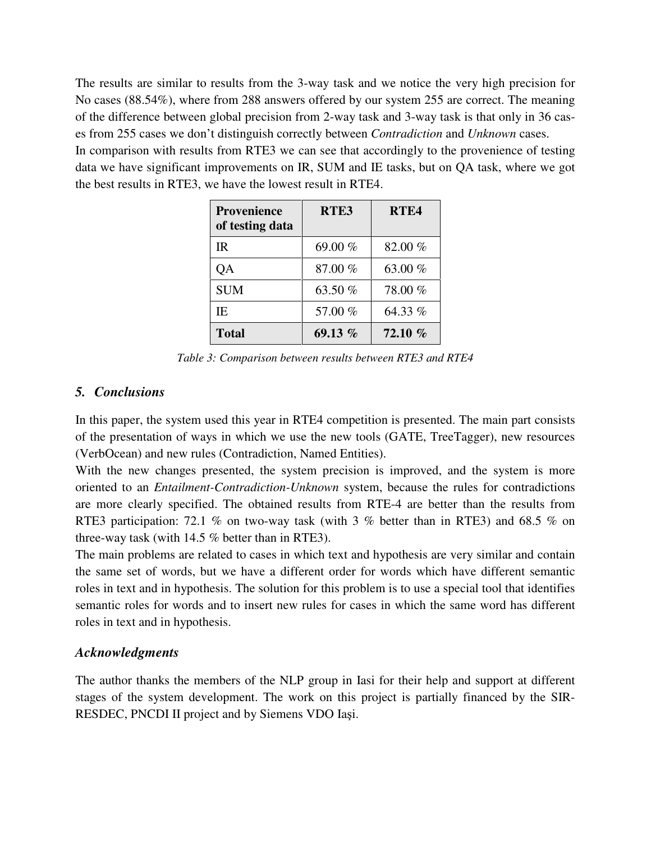The results are similar to results from the 3-way task and we notice the very high precision for No cases (88.54%), where from 288 answers offered by our system 255 are correct. The meaning of the difference between global precision from 2-way task and 3-way task is that only in 36 cases from 255 cases we don't distinguish correctly between *Contradiction* and *Unknown* cases.

In comparison with results from RTE3 we can see that accordingly to the provenience of testing data we have significant improvements on IR, SUM and IE tasks, but on QA task, where we got the best results in RTE3, we have the lowest result in RTE4.

| Provenience<br>of testing data | RTE3      | RTE4      |
|--------------------------------|-----------|-----------|
| IR.                            | 69.00 %   | 82.00%    |
| QA                             | 87.00%    | 63.00 %   |
| <b>SUM</b>                     | 63.50 %   | 78.00 %   |
| IE.                            | 57.00 %   | 64.33 %   |
| <b>Total</b>                   | 69.13 $%$ | $72.10\%$ |

*Table 3: Comparison between results between RTE3 and RTE4* 

## *5. Conclusions*

In this paper, the system used this year in RTE4 competition is presented. The main part consists of the presentation of ways in which we use the new tools (GATE, TreeTagger), new resources (VerbOcean) and new rules (Contradiction, Named Entities).

With the new changes presented, the system precision is improved, and the system is more oriented to an *Entailment-Contradiction-Unknown* system, because the rules for contradictions are more clearly specified. The obtained results from RTE-4 are better than the results from RTE3 participation: 72.1 % on two-way task (with 3 % better than in RTE3) and 68.5 % on three-way task (with 14.5 % better than in RTE3).

The main problems are related to cases in which text and hypothesis are very similar and contain the same set of words, but we have a different order for words which have different semantic roles in text and in hypothesis. The solution for this problem is to use a special tool that identifies semantic roles for words and to insert new rules for cases in which the same word has different roles in text and in hypothesis.

## *Acknowledgments*

The author thanks the members of the NLP group in Iasi for their help and support at different stages of the system development. The work on this project is partially financed by the SIR-RESDEC, PNCDI II project and by Siemens VDO Iaşi.